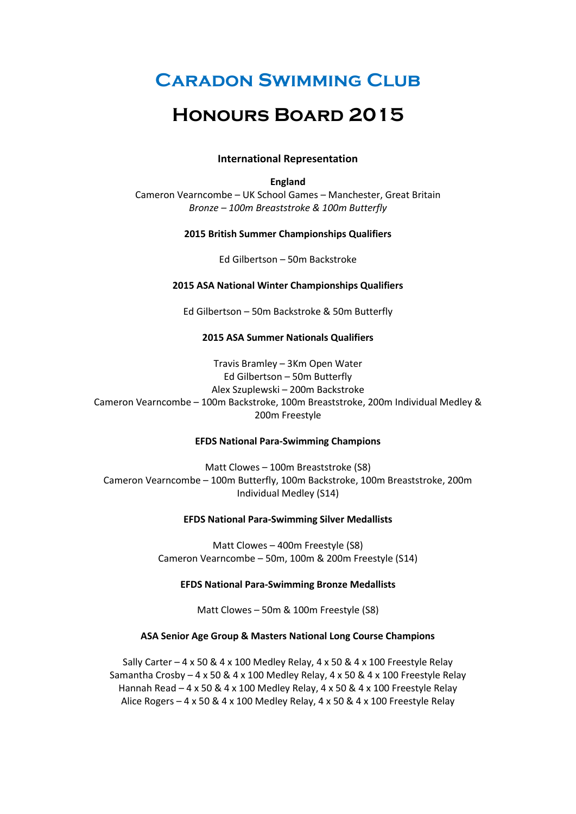# **Caradon Swimming Club**

# **Honours Board 2015**

## **International Representation**

## **England**

Cameron Vearncombe – UK School Games – Manchester, Great Britain *Bronze – 100m Breaststroke & 100m Butterfly*

### **2015 British Summer Championships Qualifiers**

Ed Gilbertson – 50m Backstroke

### **2015 ASA National Winter Championships Qualifiers**

Ed Gilbertson – 50m Backstroke & 50m Butterfly

## **2015 ASA Summer Nationals Qualifiers**

Travis Bramley – 3Km Open Water Ed Gilbertson – 50m Butterfly Alex Szuplewski – 200m Backstroke Cameron Vearncombe – 100m Backstroke, 100m Breaststroke, 200m Individual Medley & 200m Freestyle

## **EFDS National Para-Swimming Champions**

Matt Clowes – 100m Breaststroke (S8) Cameron Vearncombe – 100m Butterfly, 100m Backstroke, 100m Breaststroke, 200m Individual Medley (S14)

### **EFDS National Para-Swimming Silver Medallists**

Matt Clowes – 400m Freestyle (S8) Cameron Vearncombe – 50m, 100m & 200m Freestyle (S14)

### **EFDS National Para-Swimming Bronze Medallists**

Matt Clowes – 50m & 100m Freestyle (S8)

## **ASA Senior Age Group & Masters National Long Course Champions**

Sally Carter – 4 x 50 & 4 x 100 Medley Relay, 4 x 50 & 4 x 100 Freestyle Relay Samantha Crosby  $-4 \times 50 \& 4 \times 100$  Medley Relay,  $4 \times 50 \& 4 \times 100$  Freestyle Relay Hannah Read – 4 x 50 & 4 x 100 Medley Relay, 4 x 50 & 4 x 100 Freestyle Relay Alice Rogers – 4 x 50 & 4 x 100 Medley Relay, 4 x 50 & 4 x 100 Freestyle Relay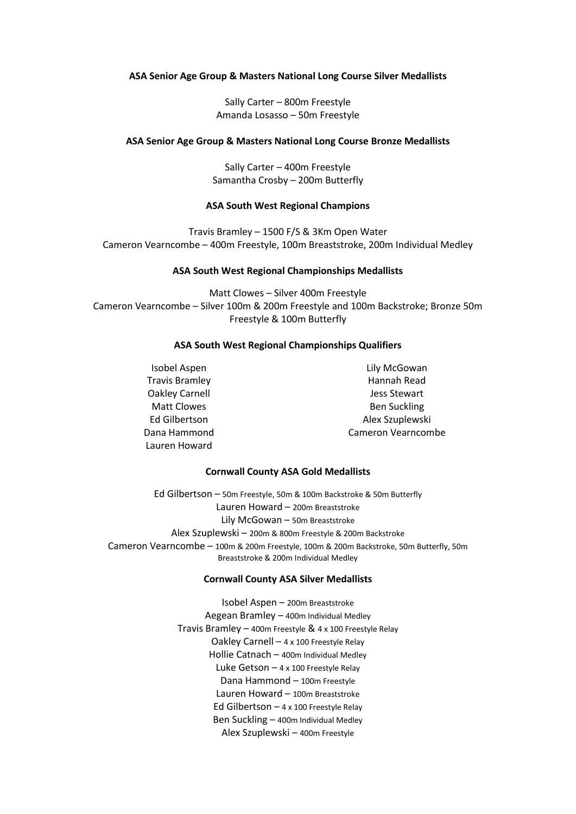### **ASA Senior Age Group & Masters National Long Course Silver Medallists**

Sally Carter – 800m Freestyle Amanda Losasso – 50m Freestyle

#### **ASA Senior Age Group & Masters National Long Course Bronze Medallists**

Sally Carter – 400m Freestyle Samantha Crosby – 200m Butterfly

#### **ASA South West Regional Champions**

Travis Bramley – 1500 F/S & 3Km Open Water Cameron Vearncombe – 400m Freestyle, 100m Breaststroke, 200m Individual Medley

#### **ASA South West Regional Championships Medallists**

Matt Clowes – Silver 400m Freestyle Cameron Vearncombe – Silver 100m & 200m Freestyle and 100m Backstroke; Bronze 50m Freestyle & 100m Butterfly

## **ASA South West Regional Championships Qualifiers**

Isobel Aspen Travis Bramley Oakley Carnell Matt Clowes Ed Gilbertson Dana Hammond Lauren Howard

Lily McGowan Hannah Read Jess Stewart Ben Suckling Alex Szuplewski Cameron Vearncombe

#### **Cornwall County ASA Gold Medallists**

Ed Gilbertson – 50m Freestyle, 50m & 100m Backstroke & 50m Butterfly Lauren Howard – 200m Breaststroke Lily McGowan – 50m Breaststroke Alex Szuplewski – 200m & 800m Freestyle & 200m Backstroke Cameron Vearncombe – 100m & 200m Freestyle, 100m & 200m Backstroke, 50m Butterfly, 50m Breaststroke & 200m Individual Medley

#### **Cornwall County ASA Silver Medallists**

Isobel Aspen – 200m Breaststroke Aegean Bramley – 400m Individual Medley Travis Bramley – 400m Freestyle & 4 x 100 Freestyle Relay Oakley Carnell – 4 x 100 Freestyle Relay Hollie Catnach – 400m Individual Medley Luke Getson  $-4 \times 100$  Freestyle Relay Dana Hammond – 100m Freestyle Lauren Howard – 100m Breaststroke Ed Gilbertson – 4 x 100 Freestyle Relay Ben Suckling – 400m Individual Medley Alex Szuplewski – 400m Freestyle